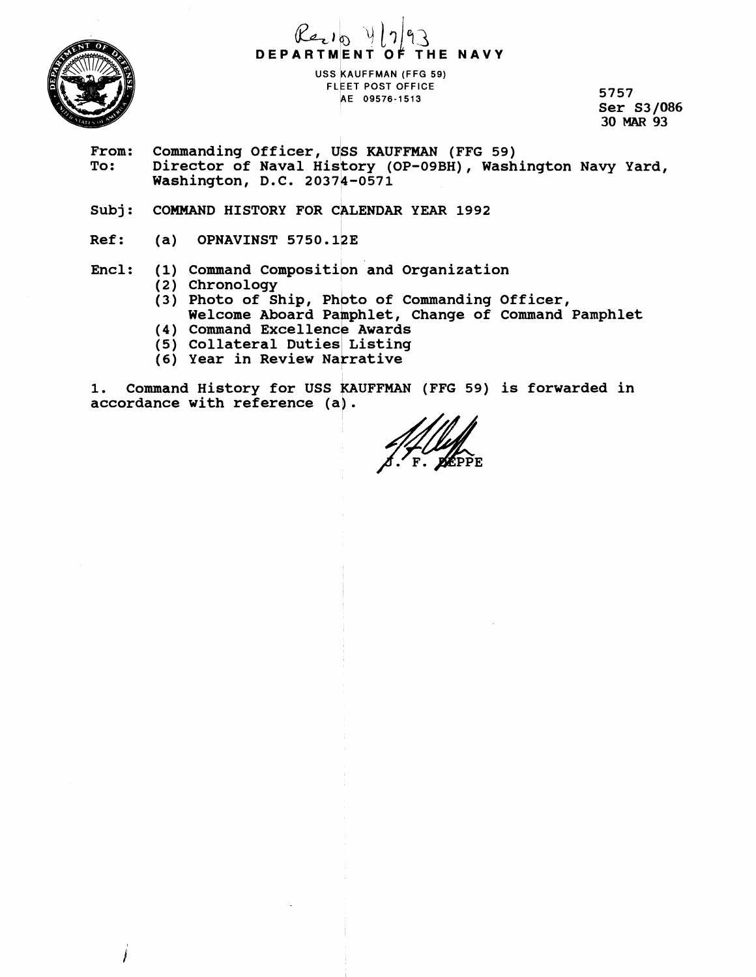

# **DEPARTMENT OF THE NAVY**

**uss KAUFFMAN (FFG 59) FLEET POST OFFICE /lE 09576-1513 5757** 

**Ser S3 1086 30 MAR 93** 

- From: Commanding Officer, USS KAUFFMAN (FFG 59)<br>To: Director of Naval History (OP-09BH), Wash
	- Director of Naval History (OP-09BH), Washington Navy Yard, **Washington, D.C. 20374-0571**
- Subj: COMMAND HISTORY FOR CALENDAR YEAR 1992
- **Ref: (a) OPNAVINST 5750.123**

### Encl: (1) Command Composition and Organization

- **(2) Chronology**
- **(3) Photo of Ship, Photo of Commanding Officer,**  Welcome Aboard Pamphlet, Change of Command Pamphlet
- (4) Command Excellence Awards
- **(5) Collateral Duties Listing**
- **(6) Year in Review Narrative**

**1. Command History for USS KAUFFMAN (FFG 59) is forwarded in accordance with reference (a].**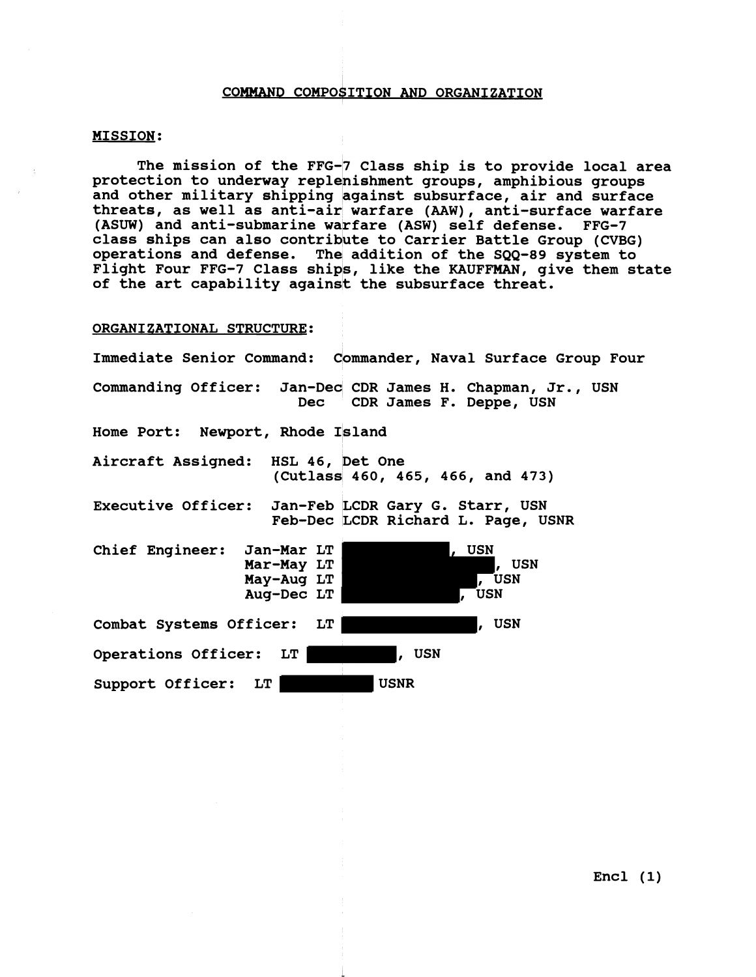#### **COMMAND COMPO\$ITION AND ORGANIZATION**

#### **MISSION:**

**The mission of the FFG-7 Class ship is to provide local area**  protection to underway replenishment groups, amphibious groups and other military shipping against subsurface, air and surface **threats, as well as anti-air warfare (AAW), anti-surface warfare**  (ASUW) and anti-submarine warfare (ASW) self defense. FFG-7 class ships can also contribute to Carrier Battle Group (CVBG) **operations and defense. The addition of the SQQ-89 system to Flight Four FFG-7 Class ships, like the KAUFFMAN, give them state of the art capability agains** I, **the subsurface threat.** 

#### **ORGANIZATIONAL STRUCTURE:**

| Immediate Senior Command: Commander, Naval Surface Group Four                                            |
|----------------------------------------------------------------------------------------------------------|
| Commanding Officer: Jan-Dec CDR James H. Chapman, Jr., USN<br>Dec CDR James F. Deppe, USN                |
| Home Port: Newport, Rhode Island                                                                         |
| Aircraft Assigned: HSL 46, Det One<br>(Cutlass 460, 465, 466, and 473)                                   |
| Executive Officer: Jan-Feb LCDR Gary G. Starr, USN<br>Feb-Dec LCDR Richard L. Page, USNR                 |
| Chief Engineer: Jan-Mar LT<br>, USN<br>Mar-May LT<br>, USN<br>, USN<br>May-Aug LT<br>Aug-Dec $LT$<br>USN |
| , USN<br>Combat Systems Officer: LT                                                                      |
| Operations Officer: LT<br>, USN                                                                          |
| <b>USNR</b><br>Support Officer: LT                                                                       |

**Encl (1)**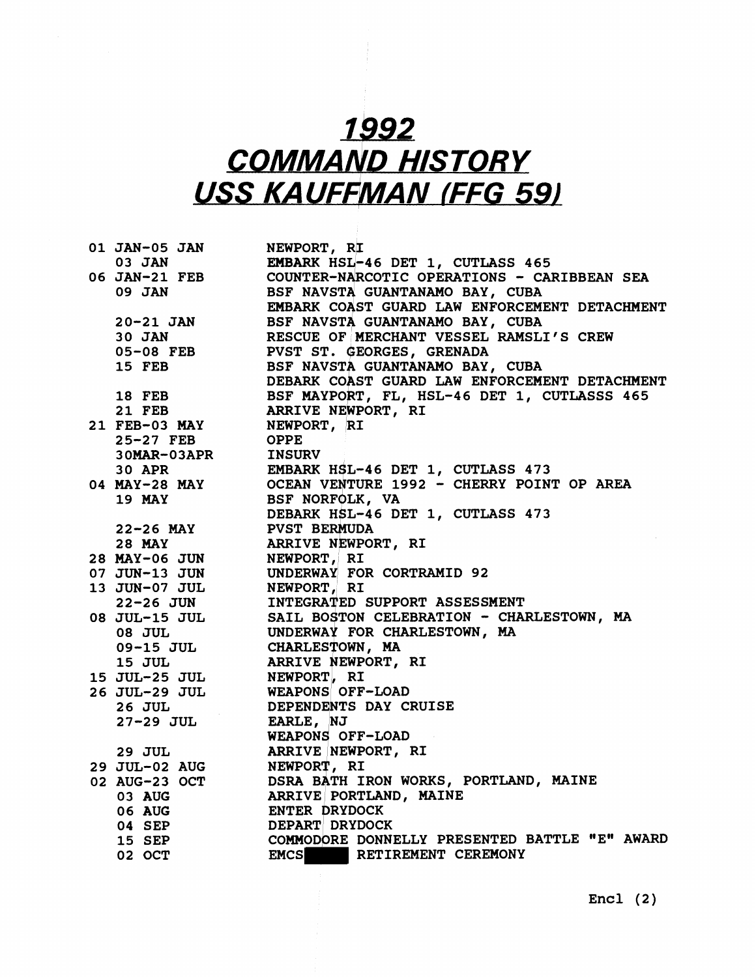## 1992 **COMMAND HISTORY USS KAUFFMAN (FFG 59)**

**01 JAN-05 JAN 03 JAN 06 JAN-21 FEB 09 JAN 20-21 JAN 30 JAN 05-08 FEB 15 FEB 18 FEB 21 FEB 21 FEB-03 MAY 25-27 FEB 3 OMAR-0 3APR 30 APR 04 MAY-28 MAY 19 MAY 22-26 MAY 28 MAY 28 MAY-06 JUN 07 JUN-13 JUN 13 JUN-07 JUL 22-26 JUN 08 JUL-15 JUL 08 JUL 09-15 JUL 15 JUL 15 JUL-25 JUL 26 JUL-29 JUL 2 6 JUL 27-29 JUL 29 JUL 29 JUL-02 AUG 02 AUG-23 OCT 03 AUG 06 AUG 04 SEP 15 SEP 02 OCT NEWPORT, RI EMBARK HSL-46 DET 1, CUTLASS 465 COUNTER-NARCOTIC OPERATIONS** - **CARIBBEAN SEA**  BSF NAVSTA GUANTANAMO BAY, CUBA EMBARK COAST GUARD LAW ENFORCEMENT DETACHMENT **BSF NAVSTA GUANTANAMO BAY, CUBA RESCUE OF MERCHANT VESSEL RAMSLI'S CREW PVST ST. GEORGES, GRENADA BSF NAVSTA GUANTANAMO BAY, CUBA DEBARK COAST GUARD LAW ENFORCEMENT DETACHMENT**  BSF MAYPORT, FL, HSL-46 DET 1, CUTLASSS 465 **ARRIVE NFPORT, RI NEWPORT, IRI OPPE INSURV EMBARK HSL-46 DET 1, CUTLASS 473 OCEAN VENTURE 1992 - CHERRY POINT OP AREA BSF NORFQLK, VA**  DEBARK HSL-46 DET 1, CUTLASS 473 **PVST BERMUDA ARRIVE NEWPORT, RI NEWPORT, RI UNDERWAY1 FOR CORTRAMID 92 NEWPORT, RI**  INTEGRATED SUPPORT ASSESSMENT **SAIL BOgTON CELEBRATION** - **CHARLESTOWN, MA UNDERWAY FOR CHARLESTOWN, MA CHARLES~OWN** , **MA ARRIVE NEWPORT, RI NEWPORT) RI**  WEAPONS OFF-LOAD **DEPENDENTS DAY CRUISE EARLE, NJ WEAPONS OFF-LOAD ARRIVE INEWPORT, RI NEWPOR?, RI DSRA B\$TH IRON WORKS, PORTLAND, MAINE ARRIVE PORTLAND, MAINE ENTER DRYDOCK DEPART, DRYDOCK COMMODORE DONNELLY PRESENTED BATTLE "E" AWARD EXETIREMENT CEREMONY**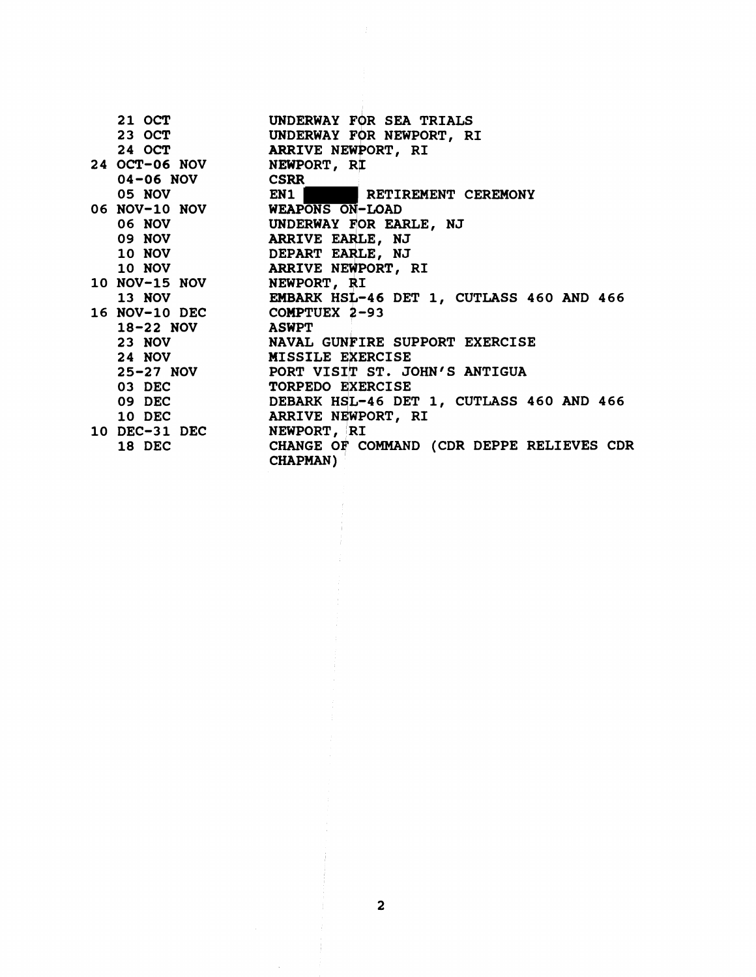| 21 OCT                        | UNDERWAY FOR SEA TRIALS                                      |
|-------------------------------|--------------------------------------------------------------|
|                               |                                                              |
|                               | 23 OCT UNDERWAY FOR NEWPORT, RI<br>24 OCT ARRIVE NEWPORT, RI |
| 24 OCT-06 NOV NEWPORT, RI     |                                                              |
| 04-06 NOV CSRR                |                                                              |
|                               | 05 NOV EN1 EN1 RETIREMENT CEREMONY                           |
| 06 NOV-10 NOV WEAPONS ON-LOAD |                                                              |
|                               | 06 NOV UNDERWAY FOR EARLE, NJ                                |
|                               | 09 NOV ARRIVE EARLE, NJ                                      |
|                               | 10 NOV DEPART EARLE, NJ                                      |
|                               | 10 NOV ARRIVE NEWPORT, RI                                    |
| 10 NOV-15 NOV NEWPORT, RI     |                                                              |
|                               | 13 NOV EMBARK HSL-46 DET 1, CUTLASS 460 AND 466              |
| 16 NOV-10 DEC COMPTUEX 2-93   |                                                              |
| 18-22 NOV ASWPT               |                                                              |
|                               | 23 NOV <b>NAVAL GUNFIRE SUPPORT EXERCISE</b>                 |
|                               | 24 NOV MISSILE EXERCISE                                      |
|                               | 25-27 NOV PORT VISIT ST. JOHN'S ANTIGUA                      |
| 03 DEC                        | <b>TORPEDO EXERCISE</b>                                      |
| 09 DEC                        | DEBARK HSL-46 DET 1, CUTLASS 460 AND 466                     |
|                               | 10 DEC ARRIVE NEWPORT, RI                                    |
| 10 DEC-31 DEC NEWPORT, RI     |                                                              |
| 18 DEC                        | CHANGE OF COMMAND (CDR DEPPE RELIEVES CDR<br><b>CHAPMAN)</b> |

 $\bar{z}$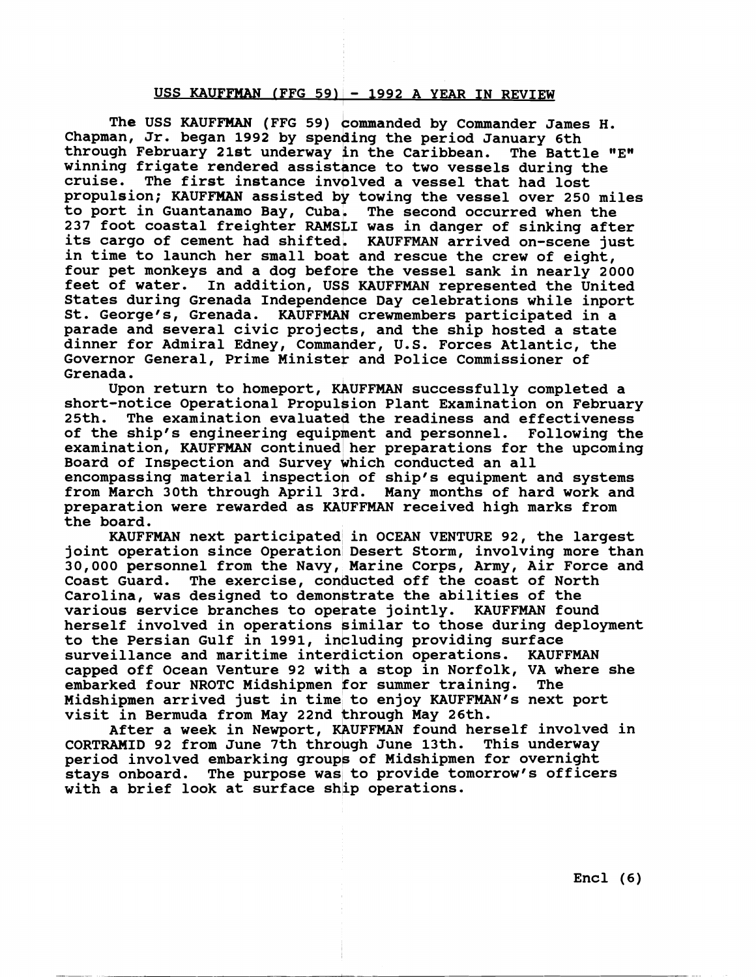#### **USS KAUFFMAN fFFG 5911** - **1992 A YEAR IN REVIEW**

The USS KAUFFMAN (FFG 59) commanded by Commander James H. Chapman, Jr. began 1992 by spending the period January 6th<br>through February 21st underway in the Caribbean. The Battle "E" through February 21st underway in the Caribbean. winning frigate rendered assistance to two vessels during the<br>cruise. The first instance involved a vessel that had lost **propulsion; KAUFFMAN assisted by towing the vessel over 250 miles to port in Guantanamo Bay, Cuba. The second occurred when the 237 foot coastal freighter RAMSLI was in danger of sinking after its cargo of cement had shifted. KAUFFMAN arrived on-scene just in time to launch her small boat and rescue the crew of eight, four pet monkeys and a dog before the vessel sank in nearly 2000 feet of water. In addition, US KAUFFMAN represented the United**  States during Grenada Independence Day celebrations while inport St. George's, Grenada. KAUFFMAN crewmembers participated in a reet of water. In addition, USS KAUFFMAN represented the Unite<br>States during Grenada Independence Day celebrations while inpor<br>St. George's, Grenada. KAUFFMAN crewmembers participated in a<br>parade and several civic projects parade and several civic projects, and the ship hosted a state Governor General, Prime Minister and Police Commissioner of **Grenada. N** cre<br>ts, a<br>nder,<br>r and

Upon return to homeport, KAUFFMAN successfully completed a short-notice Operational Propulsion Plant Examination on February<br>25th. The examination evaluated the readiness and effectiveness The examination evaluated the readiness and effectiveness of the ship's engineering equipment and personnel. Following the **examination, KAUFFMAN continued her preparations for the upcoming Board of Inspection and Survey khich conducted an all encompassing material inspectioh of ship's equipment and systems from March 30th through April 3rd. Many months of hard work and preparation were rewarded as KAUFFMAN received high marks from the board.** 

**KAUFFMAN next participated in OCEAN VENTURE 92, the largest joint operation since Operation Desert Storm, involving more than 30,000 personnel from the Navy, Marine Corps, Army, Air Force and**  Coast Guard. The exercise, conducted off the coast of North Carolina, was designed to demonstrate the abilities of the various service branches to operate jointly. KAUFFMAN found **herself involved in operations kimilar to those during deployment**  to the Persian Gulf in 1991, including providing surface surveillance and maritime interdiction operations. KAUFFMAN capped off Ocean Venture 92 with a stop in Norfolk, VA where she **embarked four NROTC Midshipmen for summer training. The Midshipmen arrived just in time to enjoy KAUFFMANfs next port visit in Bermuda from May 22nd through May 26th.** 

**After a week in Newport, KAUFFMAN found herself involved in**  CORTRAMID 92 from June 7th through June 13th. This underway **period involved embarking groups of Midshipmen for overnight**  stays onboard. The purpose was to provide tomorrow's officers **with a brief look at surface shlip operations.** 

**Encl (6)**